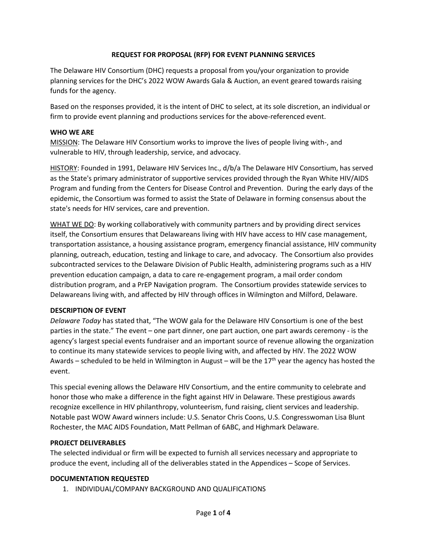# **REQUEST FOR PROPOSAL (RFP) FOR EVENT PLANNING SERVICES**

The Delaware HIV Consortium (DHC) requests a proposal from you/your organization to provide planning services for the DHC's 2022 WOW Awards Gala & Auction, an event geared towards raising funds for the agency.

Based on the responses provided, it is the intent of DHC to select, at its sole discretion, an individual or firm to provide event planning and productions services for the above-referenced event.

### **WHO WE ARE**

MISSION: The Delaware HIV Consortium works to improve the lives of people living with-, and vulnerable to HIV, through leadership, service, and advocacy.

HISTORY: Founded in 1991, Delaware HIV Services Inc., d/b/a The Delaware HIV Consortium, has served as the State's primary administrator of supportive services provided through the Ryan White HIV/AIDS Program and funding from the Centers for Disease Control and Prevention. During the early days of the epidemic, the Consortium was formed to assist the State of Delaware in forming consensus about the state's needs for HIV services, care and prevention.

WHAT WE DO: By working collaboratively with community partners and by providing direct services itself, the Consortium ensures that Delawareans living with HIV have access to HIV case management, transportation assistance, a housing assistance program, emergency financial assistance, HIV community planning, outreach, education, testing and linkage to care, and advocacy. The Consortium also provides subcontracted services to the Delaware Division of Public Health, administering programs such as a HIV prevention education campaign, a data to care re-engagement program, a mail order condom distribution program, and a PrEP Navigation program. The Consortium provides statewide services to Delawareans living with, and affected by HIV through offices in Wilmington and Milford, Delaware.

# **DESCRIPTION OF EVENT**

*Delaware Today* has stated that, "The WOW gala for the Delaware HIV Consortium is one of the best parties in the state." The event – one part dinner, one part auction, one part awards ceremony - is the agency's largest special events fundraiser and an important source of revenue allowing the organization to continue its many statewide services to people living with, and affected by HIV. The 2022 WOW Awards – scheduled to be held in Wilmington in August – will be the 17<sup>th</sup> year the agency has hosted the event.

This special evening allows the Delaware HIV Consortium, and the entire community to celebrate and honor those who make a difference in the fight against HIV in Delaware. These prestigious awards recognize excellence in HIV philanthropy, volunteerism, fund raising, client services and leadership. Notable past WOW Award winners include: U.S. Senator Chris Coons, U.S. Congresswoman Lisa Blunt Rochester, the MAC AIDS Foundation, Matt Pellman of 6ABC, and Highmark Delaware.

#### **PROJECT DELIVERABLES**

The selected individual or firm will be expected to furnish all services necessary and appropriate to produce the event, including all of the deliverables stated in the Appendices – Scope of Services.

# **DOCUMENTATION REQUESTED**

1. INDIVIDUAL/COMPANY BACKGROUND AND QUALIFICATIONS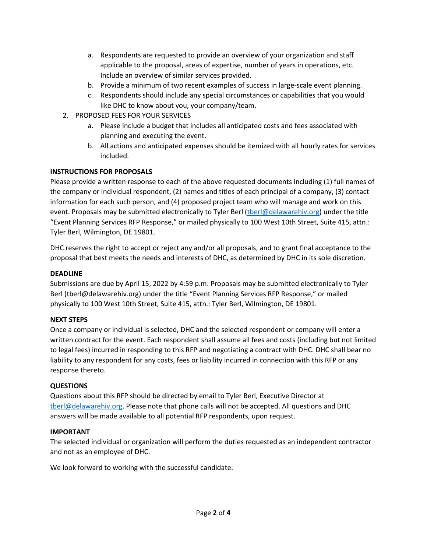- a. Respondents are requested to provide an overview of your organization and staff applicable to the proposal, areas of expertise, number of years in operations, etc. Include an overview of similar services provided.
- b. Provide a minimum of two recent examples of success in large-scale event planning.
- c. Respondents should include any special circumstances or capabilities that you would like DHC to know about you, your company/team.
- 2. PROPOSED FEES FOR YOUR SERVICES
	- a. Please include a budget that includes all anticipated costs and fees associated with planning and executing the event.
	- b. All actions and anticipated expenses should be itemized with all hourly rates for services included.

# **INSTRUCTIONS FOR PROPOSALS**

Please provide a written response to each of the above requested documents including (1) full names of the company or individual respondent, (2) names and titles of each principal of a company, (3) contact information for each such person, and (4) proposed project team who will manage and work on this event. Proposals may be submitted electronically to Tyler Berl [\(tberl@delawarehiv.org\)](mailto:tberl@delawarehiv.org) under the title "Event Planning Services RFP Response," or mailed physically to 100 West 10th Street, Suite 415, attn.: Tyler Berl, Wilmington, DE 19801.

DHC reserves the right to accept or reject any and/or all proposals, and to grant final acceptance to the proposal that best meets the needs and interests of DHC, as determined by DHC in its sole discretion.

### **DEADLINE**

Submissions are due by April 15, 2022 by 4:59 p.m. Proposals may be submitted electronically to Tyler Berl (tberl@delawarehiv.org) under the title "Event Planning Services RFP Response," or mailed physically to 100 West 10th Street, Suite 415, attn.: Tyler Berl, Wilmington, DE 19801.

# **NEXT STEPS**

Once a company or individual is selected, DHC and the selected respondent or company will enter a written contract for the event. Each respondent shall assume all fees and costs (including but not limited to legal fees) incurred in responding to this RFP and negotiating a contract with DHC. DHC shall bear no liability to any respondent for any costs, fees or liability incurred in connection with this RFP or any response thereto.

# **QUESTIONS**

Questions about this RFP should be directed by email to Tyler Berl, Executive Director at [tberl@delawarehiv.org.](mailto:tberl@delawarehiv.org) Please note that phone calls will not be accepted. All questions and DHC answers will be made available to all potential RFP respondents, upon request.

#### **IMPORTANT**

The selected individual or organization will perform the duties requested as an independent contractor and not as an employee of DHC.

We look forward to working with the successful candidate.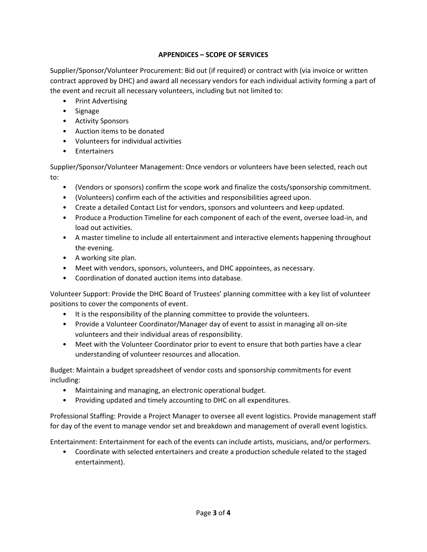# **APPENDICES – SCOPE OF SERVICES**

Supplier/Sponsor/Volunteer Procurement: Bid out (if required) or contract with (via invoice or written contract approved by DHC) and award all necessary vendors for each individual activity forming a part of the event and recruit all necessary volunteers, including but not limited to:

- Print Advertising
- Signage
- Activity Sponsors
- Auction items to be donated
- Volunteers for individual activities
- Entertainers

Supplier/Sponsor/Volunteer Management: Once vendors or volunteers have been selected, reach out to:

- (Vendors or sponsors) confirm the scope work and finalize the costs/sponsorship commitment.
- (Volunteers) confirm each of the activities and responsibilities agreed upon.
- Create a detailed Contact List for vendors, sponsors and volunteers and keep updated.
- Produce a Production Timeline for each component of each of the event, oversee load-in, and load out activities.
- A master timeline to include all entertainment and interactive elements happening throughout the evening.
- A working site plan.
- Meet with vendors, sponsors, volunteers, and DHC appointees, as necessary.
- Coordination of donated auction items into database.

Volunteer Support: Provide the DHC Board of Trustees' planning committee with a key list of volunteer positions to cover the components of event.

- It is the responsibility of the planning committee to provide the volunteers.
- Provide a Volunteer Coordinator/Manager day of event to assist in managing all on-site volunteers and their individual areas of responsibility.
- Meet with the Volunteer Coordinator prior to event to ensure that both parties have a clear understanding of volunteer resources and allocation.

Budget: Maintain a budget spreadsheet of vendor costs and sponsorship commitments for event including:

- Maintaining and managing, an electronic operational budget.
- Providing updated and timely accounting to DHC on all expenditures.

Professional Staffing: Provide a Project Manager to oversee all event logistics. Provide management staff for day of the event to manage vendor set and breakdown and management of overall event logistics.

Entertainment: Entertainment for each of the events can include artists, musicians, and/or performers.

• Coordinate with selected entertainers and create a production schedule related to the staged entertainment).